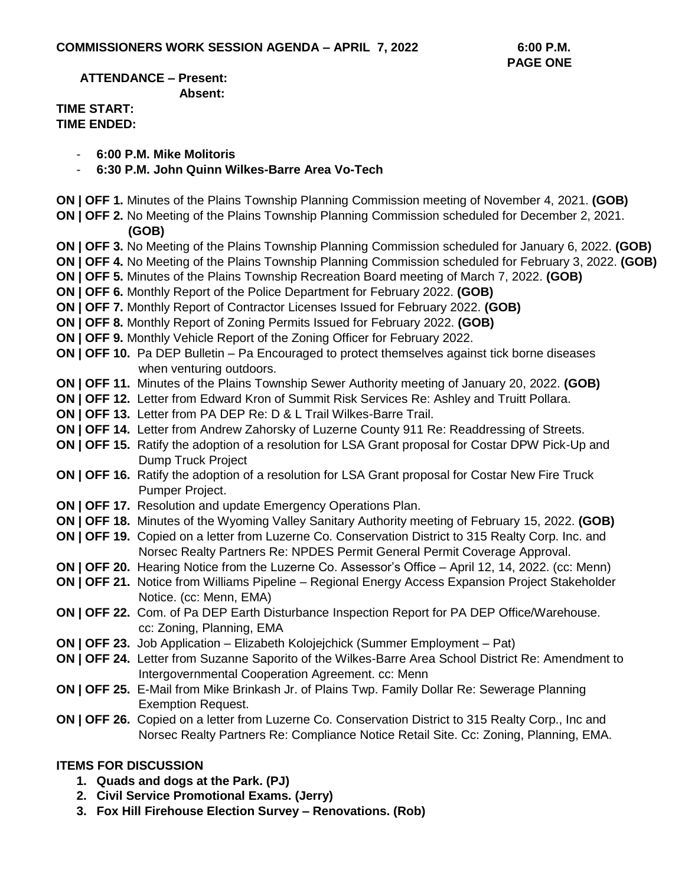**ATTENDANCE – Present: Absent:**

## **TIME START: TIME ENDED:**

- **6:00 P.M. Mike Molitoris**
- **6:30 P.M. John Quinn Wilkes-Barre Area Vo-Tech**
- **ON | OFF 1.** Minutes of the Plains Township Planning Commission meeting of November 4, 2021. **(GOB)**
- **ON | OFF 2.** No Meeting of the Plains Township Planning Commission scheduled for December 2, 2021.  **(GOB)**
- **ON | OFF 3.** No Meeting of the Plains Township Planning Commission scheduled for January 6, 2022. **(GOB)**
- **ON | OFF 4.** No Meeting of the Plains Township Planning Commission scheduled for February 3, 2022. **(GOB)**
- **ON | OFF 5.** Minutes of the Plains Township Recreation Board meeting of March 7, 2022. **(GOB)**
- **ON | OFF 6.** Monthly Report of the Police Department for February 2022. **(GOB)**
- **ON | OFF 7.** Monthly Report of Contractor Licenses Issued for February 2022. **(GOB)**
- **ON | OFF 8.** Monthly Report of Zoning Permits Issued for February 2022. **(GOB)**
- **ON | OFF 9.** Monthly Vehicle Report of the Zoning Officer for February 2022.
- **ON | OFF 10.** Pa DEP Bulletin Pa Encouraged to protect themselves against tick borne diseases when venturing outdoors.
- **ON | OFF 11.** Minutes of the Plains Township Sewer Authority meeting of January 20, 2022. **(GOB)**
- **ON | OFF 12.** Letter from Edward Kron of Summit Risk Services Re: Ashley and Truitt Pollara.
- **ON | OFF 13.** Letter from PA DEP Re: D & L Trail Wilkes-Barre Trail.
- **ON | OFF 14.** Letter from Andrew Zahorsky of Luzerne County 911 Re: Readdressing of Streets.
- **ON | OFF 15.** Ratify the adoption of a resolution for LSA Grant proposal for Costar DPW Pick-Up and Dump Truck Project
- **ON | OFF 16.** Ratify the adoption of a resolution for LSA Grant proposal for Costar New Fire Truck Pumper Project.
- **ON | OFF 17.** Resolution and update Emergency Operations Plan.
- **ON | OFF 18.** Minutes of the Wyoming Valley Sanitary Authority meeting of February 15, 2022. **(GOB)**
- **ON | OFF 19.** Copied on a letter from Luzerne Co. Conservation District to 315 Realty Corp. Inc. and Norsec Realty Partners Re: NPDES Permit General Permit Coverage Approval.
- **ON | OFF 20.** Hearing Notice from the Luzerne Co. Assessor's Office April 12, 14, 2022. (cc: Menn)
- **ON | OFF 21.** Notice from Williams Pipeline Regional Energy Access Expansion Project Stakeholder Notice. (cc: Menn, EMA)
- **ON | OFF 22.** Com. of Pa DEP Earth Disturbance Inspection Report for PA DEP Office/Warehouse. cc: Zoning, Planning, EMA
- **ON | OFF 23.** Job Application Elizabeth Kolojejchick (Summer Employment Pat)
- **ON | OFF 24.** Letter from Suzanne Saporito of the Wilkes-Barre Area School District Re: Amendment to Intergovernmental Cooperation Agreement. cc: Menn
- **ON | OFF 25.** E-Mail from Mike Brinkash Jr. of Plains Twp. Family Dollar Re: Sewerage Planning Exemption Request.
- **ON | OFF 26.** Copied on a letter from Luzerne Co. Conservation District to 315 Realty Corp., Inc and Norsec Realty Partners Re: Compliance Notice Retail Site. Cc: Zoning, Planning, EMA.

## **ITEMS FOR DISCUSSION**

- **1. Quads and dogs at the Park. (PJ)**
- **2. Civil Service Promotional Exams. (Jerry)**
- **3. Fox Hill Firehouse Election Survey – Renovations. (Rob)**